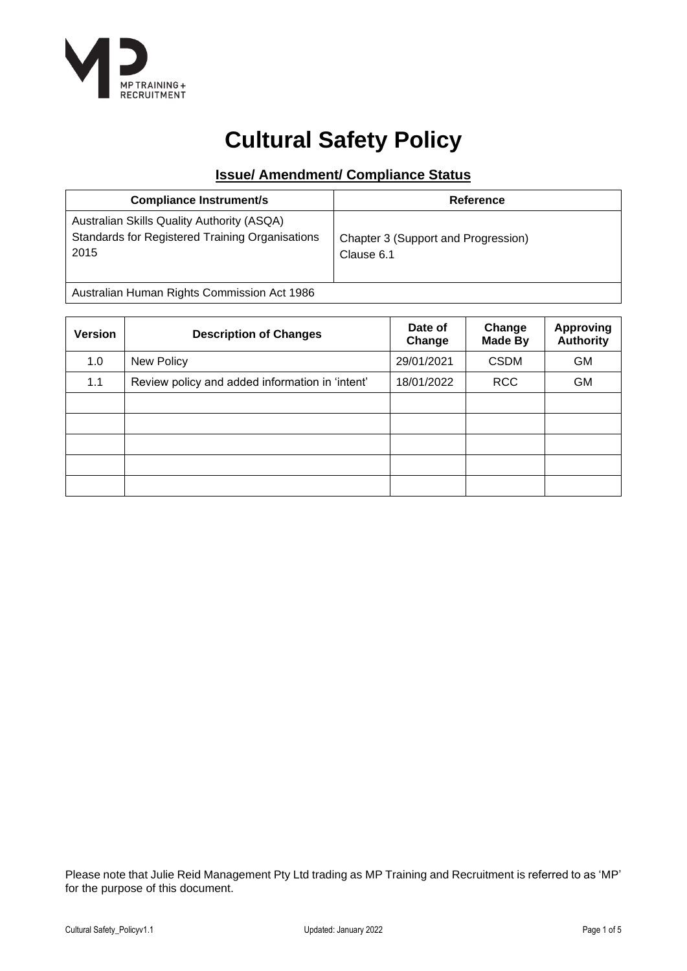

# **Cultural Safety Policy**

## **Issue/ Amendment/ Compliance Status**

| Australian Skills Quality Authority (ASQA)                                                                   |  |
|--------------------------------------------------------------------------------------------------------------|--|
| Standards for Registered Training Organisations<br>Chapter 3 (Support and Progression)<br>2015<br>Clause 6.1 |  |

Australian Human Rights Commission Act 1986

| <b>Version</b> | <b>Description of Changes</b>                   | Date of<br>Change | Change<br><b>Made By</b> | <b>Approving</b><br><b>Authority</b> |
|----------------|-------------------------------------------------|-------------------|--------------------------|--------------------------------------|
| 1.0            | New Policy                                      | 29/01/2021        | <b>CSDM</b>              | GM                                   |
| 1.1            | Review policy and added information in 'intent' | 18/01/2022        | <b>RCC</b>               | <b>GM</b>                            |
|                |                                                 |                   |                          |                                      |
|                |                                                 |                   |                          |                                      |
|                |                                                 |                   |                          |                                      |
|                |                                                 |                   |                          |                                      |
|                |                                                 |                   |                          |                                      |

Please note that Julie Reid Management Pty Ltd trading as MP Training and Recruitment is referred to as 'MP' for the purpose of this document.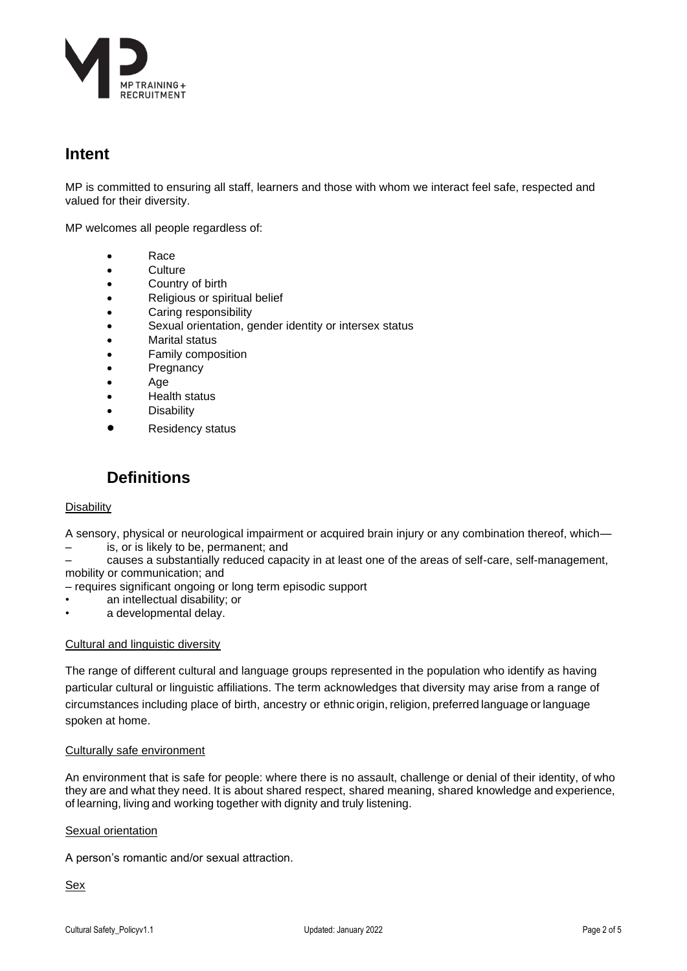

## **Intent**

MP is committed to ensuring all staff, learners and those with whom we interact feel safe, respected and valued for their diversity.

MP welcomes all people regardless of:

- Race
- Culture
- Country of birth
- Religious or spiritual belief
- Caring responsibility
- Sexual orientation, gender identity or intersex status
- Marital status
- Family composition
- **Pregnancy**
- Age
- Health status
- **Disability**
- Residency status

## **Definitions**

#### **Disability**

A sensory, physical or neurological impairment or acquired brain injury or any combination thereof, which— – is, or is likely to be, permanent; and

– causes a substantially reduced capacity in at least one of the areas of self-care, self-management, mobility or communication; and

- requires significant ongoing or long term episodic support
- an intellectual disability; or
- a developmental delay.

#### Cultural and linguistic diversity

The range of different cultural and language groups represented in the population who identify as having particular cultural or linguistic affiliations. The term acknowledges that diversity may arise from a range of circumstances including place of birth, ancestry or ethnic origin, religion, preferred language or language spoken at home.

#### Culturally safe environment

An environment that is safe for people: where there is no assault, challenge or denial of their identity, of who they are and what they need. It is about shared respect, shared meaning, shared knowledge and experience, of learning, living and working together with dignity and truly listening.

#### Sexual orientation

A person's romantic and/or sexual attraction.

Sex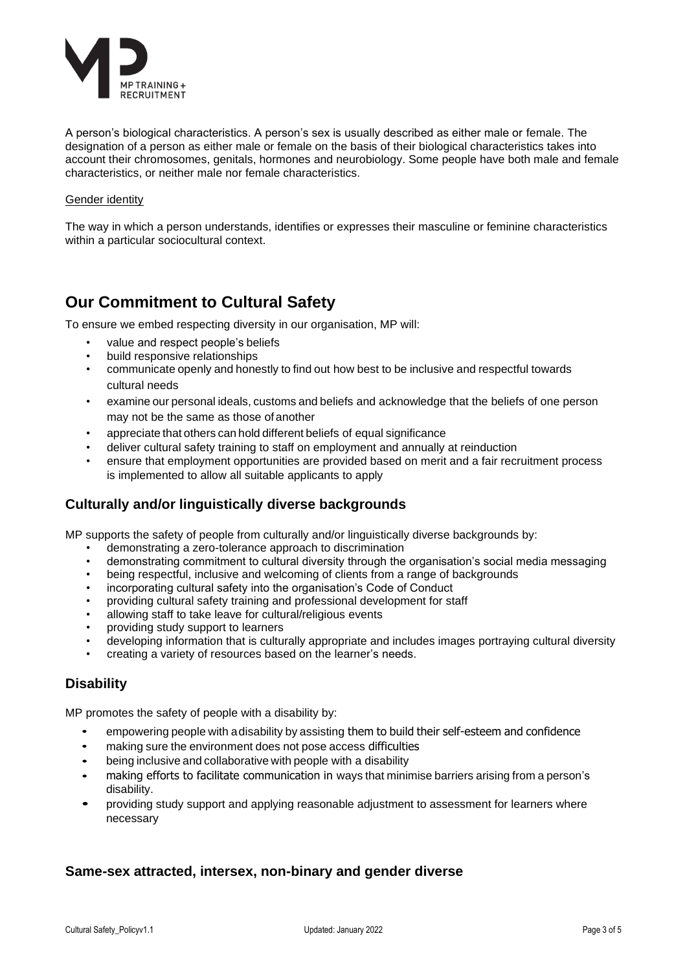

A person's biological characteristics. A person's sex is usually described as either male or female. The designation of a person as either male or female on the basis of their biological characteristics takes into account their chromosomes, genitals, hormones and neurobiology. Some people have both male and female characteristics, or neither male nor female characteristics.

#### Gender identity

The way in which a person understands, identifies or expresses their masculine or feminine characteristics within a particular sociocultural context.

# **Our Commitment to Cultural Safety**

To ensure we embed respecting diversity in our organisation, MP will:

- value and respect people's beliefs
- build responsive relationships
- communicate openly and honestly to find out how best to be inclusive and respectful towards cultural needs
- examine our personal ideals, customs and beliefs and acknowledge that the beliefs of one person may not be the same as those of another
- appreciate that others can hold different beliefs of equal significance
- deliver cultural safety training to staff on employment and annually at reinduction
- ensure that employment opportunities are provided based on merit and a fair recruitment process is implemented to allow all suitable applicants to apply

## **Culturally and/or linguistically diverse backgrounds**

MP supports the safety of people from culturally and/or linguistically diverse backgrounds by:

- demonstrating a zero-tolerance approach to discrimination
- demonstrating commitment to cultural diversity through the organisation's social media messaging
- being respectful, inclusive and welcoming of clients from a range of backgrounds
- incorporating cultural safety into the organisation's Code of Conduct
- providing cultural safety training and professional development for staff
- allowing staff to take leave for cultural/religious events
- providing study support to learners
- developing information that is culturally appropriate and includes images portraying cultural diversity
- creating a variety of resources based on the learner's needs.

## **Disability**

MP promotes the safety of people with a disability by:

- empowering people with a disability by assisting them to build their self-esteem and confidence
- making sure the environment does not pose access difficulties
- being inclusive and collaborative with people with a disability
- making efforts to facilitate communication in ways that minimise barriers arising from <sup>a</sup> person's disability.
- providing study support and applying reasonable adjustment to assessment for learners where necessary

## **Same-sex attracted, intersex, non-binary and gender diverse**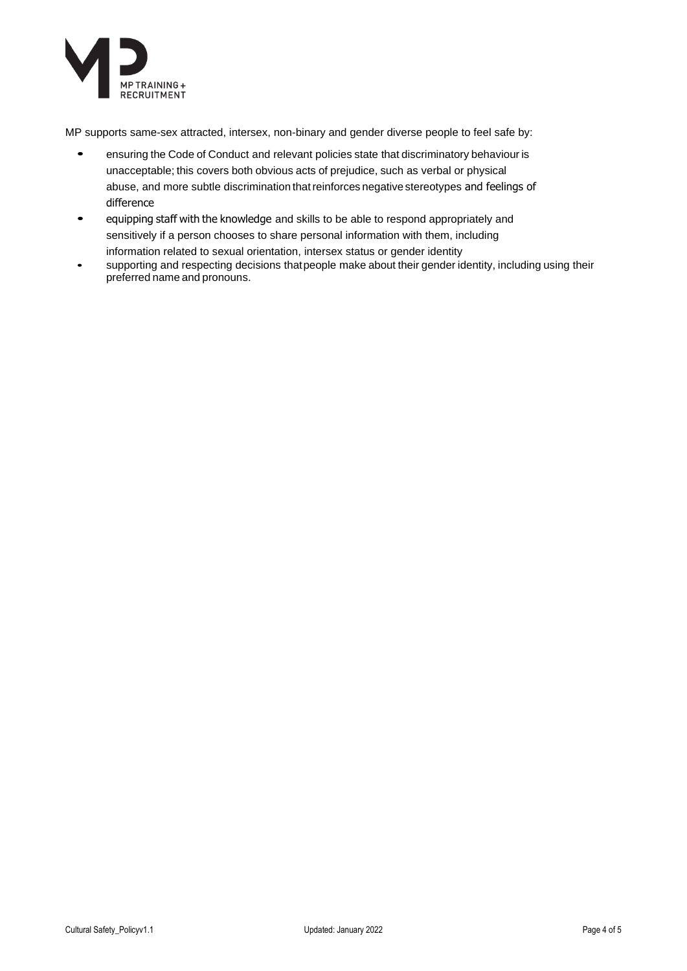

MP supports same-sex attracted, intersex, non-binary and gender diverse people to feel safe by:

- ensuring the Code of Conduct and relevant policies state that discriminatory behaviour is unacceptable; this covers both obvious acts of prejudice, such as verbal or physical abuse, and more subtle discrimination thatreinforces negative stereotypes and feelings of difference
- equipping staff with the knowledge and skills to be able to respond appropriately and sensitively if a person chooses to share personal information with them, including information related to sexual orientation, intersex status or gender identity
- supporting and respecting decisions thatpeople make about their gender identity, including using their preferred name and pronouns.